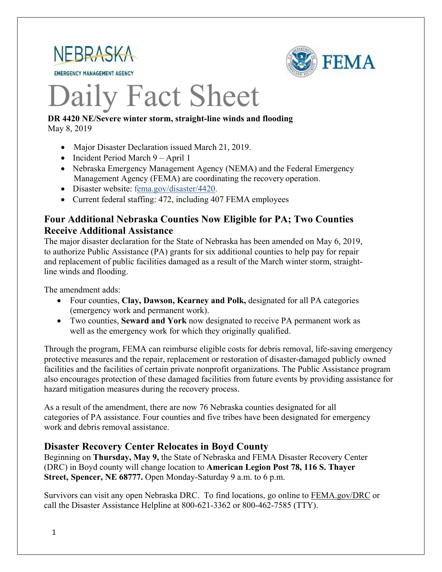

**EMERGENCY MANAGEMENT AGENCY** 



# Daily Fact Sheet

#### **DR 4420 NE/Severe winter storm, straight-line winds and flooding** May 8, 2019

- Major Disaster Declaration issued March 21, 2019.
- Incident Period March 9 April 1
- Nebraska Emergency Management Agency (NEMA) and the Federal Emergency Management Agency (FEMA) are coordinating the recovery operation.
- Disaster website: [fema.gov/disaster/4420.](https://www.fema.gov/disaster/4420)
- Current federal staffing: 472, including 407 FEMA employees

# **Four Additional Nebraska Counties Now Eligible for PA; Two Counties Receive Additional Assistance**

The major disaster declaration for the State of Nebraska has been amended on May 6, 2019, to authorize Public Assistance (PA) grants for six additional counties to help pay for repair and replacement of public facilities damaged as a result of the March winter storm, straightline winds and flooding.

The amendment adds:

- Four counties, **Clay, Dawson, Kearney and Polk,** designated for all PA categories (emergency work and permanent work).
- Two counties, **Seward and York** now designated to receive PA permanent work as well as the emergency work for which they originally qualified.

Through the program, FEMA can reimburse eligible costs for debris removal, life-saving emergency protective measures and the repair, replacement or restoration of disaster-damaged publicly owned facilities and the facilities of certain private nonprofit organizations. The Public Assistance program also encourages protection of these damaged facilities from future events by providing assistance for hazard mitigation measures during the recovery process.

As a result of the amendment, there are now 76 Nebraska counties designated for all categories of PA assistance. Four counties and five tribes have been designated for emergency work and debris removal assistance.

# **Disaster Recovery Center Relocates in Boyd County**

Beginning on **Thursday, May 9,** the State of Nebraska and FEMA Disaster Recovery Center (DRC) in Boyd county will change location to **American Legion Post 78, 116 S. Thayer Street, Spencer, NE 68777.** Open Monday-Saturday 9 a.m. to 6 p.m.

Survivors can visit any open Nebraska DRC. To find locations, go online to FEMA.gov/DRC or call the Disaster Assistance Helpline at 800-621-3362 or 800-462-7585 (TTY).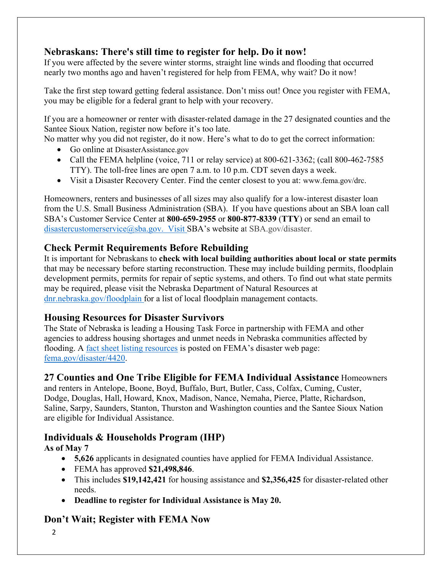# **Nebraskans: There's still time to register for help. Do it now!**

If you were affected by the severe winter storms, straight line winds and flooding that occurred nearly two months ago and haven't registered for help from FEMA, why wait? Do it now!

Take the first step toward getting federal assistance. Don't miss out! Once you register with FEMA, you may be eligible for a federal grant to help with your recovery.

If you are a homeowner or renter with disaster-related damage in the 27 designated counties and the Santee Sioux Nation, register now before it's too late.

No matter why you did not register, do it now. Here's what to do to get the correct information:

- Go online at DisasterAssistance.gov
- Call the FEMA helpline (voice, 711 or relay service) at  $800-621-3362$ ; (call  $800-462-7585$ TTY). The toll-free lines are open 7 a.m. to 10 p.m. CDT seven days a week.
- Visit a Disaster Recovery Center. Find the center closest to you at: [www.fema.gov/drc.](http://www.fema.gov/drc)

Homeowners, renters and businesses of all sizes may also qualify for a low-interest disaster loan from the U.S. Small Business Administration (SBA). If you have questions about an SBA loan call SBA's Customer Service Center at **800-659-2955** or **800-877-8339** (**TTY**) or send an email to [disastercustomerservice@sba.gov.](mailto:disastercustomerservice@sba.gov.) Visit SBA's website at SBA.gov/disaster.

# **Check Permit Requirements Before Rebuilding**

It is important for Nebraskans to **check with local building authorities about local or state permits** that may be necessary before starting reconstruction. These may include building permits, floodplain development permits, permits for repair of septic systems, and others. To find out what state permits may be required, please visit the Nebraska Department of Natural Resources at [dnr.nebraska.gov/floodplain](https://dnr.nebraska.gov/floodplain) for a list of local floodplain management contacts.

# **Housing Resources for Disaster Survivors**

The State of Nebraska is leading a Housing Task Force in partnership with FEMA and other agencies to address housing shortages and unmet needs in Nebraska communities affected by flooding. A [fact sheet listing resources](https://edit.fema.gov/news-release/2019/04/19/fact-sheet-housing-resources-residents-nebraska-affected-march-storms-0) is posted on FEMA's disaster web page: [fema.gov/disaster/4420.](http://www.fema.gov/disaster/4420)

# **27 Counties and One Tribe Eligible for FEMA Individual Assistance** Homeowners

and renters in Antelope, Boone, Boyd, Buffalo, Burt, Butler, Cass, Colfax, Cuming, Custer, Dodge, Douglas, Hall, Howard, Knox, Madison, Nance, Nemaha, Pierce, Platte, Richardson, Saline, Sarpy, Saunders, Stanton, Thurston and Washington counties and the Santee Sioux Nation are eligible for Individual Assistance.

# **Individuals & Households Program (IHP)**

**As of May 7**

- **5,626** applicants in designated counties have applied for FEMA Individual Assistance.
- FEMA has approved **\$21,498,846**.
- This includes **\$19,142,421** for housing assistance and **\$2,356,425** for disaster-related other needs.
- **Deadline to register for Individual Assistance is May 20.**

# **Don't Wait; Register with FEMA Now**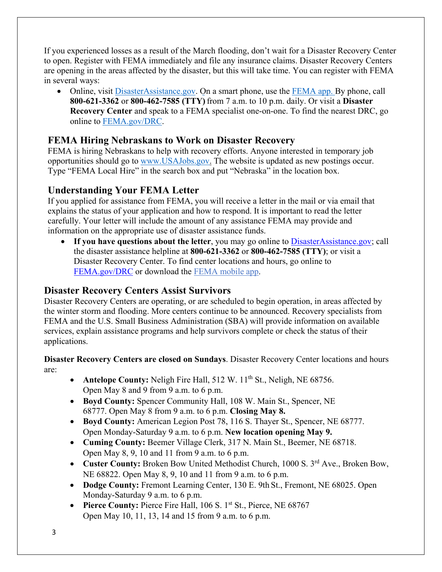If you experienced losses as a result of the March flooding, don't wait for a Disaster Recovery Center to open. Register with FEMA immediately and file any insurance claims. Disaster Recovery Centers are opening in the areas affected by the disaster, but this will take time. You can register with FEMA in several ways:

• Online, visit [DisasterAssistance.gov.](https://disasterassistance.gov/) On a smart phone, use the [FEMA app.](https://www.fema.gov/mobile-app) By phone, call **800-621-3362** or **800-462-7585 (TTY)** from 7 a.m. to 10 p.m. daily. Or visit a **Disaster Recovery Center** and speak to a FEMA specialist one-on-one. To find the nearest DRC, go online to [FEMA.gov/DRC.](http://www.fema.gov/DRC)

# **FEMA Hiring Nebraskans to Work on Disaster Recovery**

FEMA is hiring Nebraskans to help with recovery efforts. Anyone interested in temporary job opportunities should go to [www.USAJobs.gov.](http://www.usajobs.gov/) The website is updated as new postings occur. Type "FEMA Local Hire" in the search box and put "Nebraska" in the location box.

# **Understanding Your FEMA Letter**

If you applied for assistance from FEMA, you will receive a letter in the mail or via email that explains the status of your application and how to respond. It is important to read the letter carefully. Your letter will include the amount of any assistance FEMA may provide and information on the appropriate use of disaster assistance funds.

• If you have questions about the letter, you may go online to [DisasterAssistance.gov;](http://www.disasterassistance.gov/) call the disaster assistance helpline at **800-621-3362** or **800-462-7585 (TTY)**; or visit a Disaster Recovery Center. To find center locations and hours, go online t[o](https://www.fema.gov/disaster-recovery-centers) [FEMA.gov/DRC](https://www.fema.gov/disaster-recovery-centers) or download the [FEMA mobile](https://www.fema.gov/mobile-app) app.

# **Disaster Recovery Centers Assist Survivors**

Disaster Recovery Centers are operating, or are scheduled to begin operation, in areas affected by the winter storm and flooding. More centers continue to be announced. Recovery specialists from FEMA and the U.S. Small Business Administration (SBA) will provide information on available services, explain assistance programs and help survivors complete or check the status of their applications.

#### **Disaster Recovery Centers are closed on Sundays**. Disaster Recovery Center locations and hours are:

- **Antelope County:** Neligh Fire Hall, 512 W. 11<sup>th</sup> St., Neligh, NE 68756. Open May 8 and 9 from 9 a.m. to 6 p.m.
- **Boyd County:** Spencer Community Hall, 108 W. Main St., Spencer, NE 68777. Open May 8 from 9 a.m. to 6 p.m. **Closing May 8.**
- **Boyd County:** American Legion Post 78, 116 S. Thayer St., Spencer, NE 68777. Open Monday-Saturday 9 a.m. to 6 p.m. **New location opening May 9.**
- **Cuming County:** Beemer Village Clerk, 317 N. Main St., Beemer, NE 68718. Open May 8, 9, 10 and 11 from 9 a.m. to 6 p.m.
- Custer County: Broken Bow United Methodist Church, 1000 S. 3<sup>rd</sup> Ave., Broken Bow. NE 68822. Open May 8, 9, 10 and 11 from 9 a.m. to 6 p.m.
- **Dodge County:** Fremont Learning Center, 130 E. 9th St., Fremont, NE 68025. Open Monday-Saturday 9 a.m. to 6 p.m.
- **Pierce County: Pierce Fire Hall, 106 S. 1st St., Pierce, NE 68767** Open May 10, 11, 13, 14 and 15 from 9 a.m. to 6 p.m.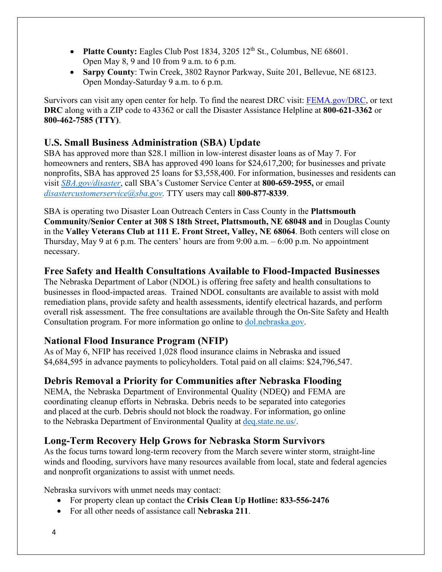- **Platte County:** Eagles Club Post 1834, 3205 12<sup>th</sup> St., Columbus, NE 68601. Open May 8, 9 and 10 from 9 a.m. to 6 p.m.
- **Sarpy County**: Twin Creek, 3802 Raynor Parkway, Suite 201, Bellevue, NE 68123. Open Monday-Saturday 9 a.m. to 6 p.m.

Survivors can visit any open center for help. To find the nearest DRC visit: [FEMA.gov/DRC,](http://www.fema.gov/DRC) or text **DRC** along with a ZIP code to 43362 or call the Disaster Assistance Helpline at **800-621-3362** or **800-462-7585 (TTY)**.

# **U.S. Small Business Administration (SBA) Update**

SBA has approved more than \$28.1 million in low-interest disaster loans as of May 7. For homeowners and renters, SBA has approved 490 loans for \$24,617,200; for businesses and private nonprofits, SBA has approved 25 loans for \$3,558,400. For information, businesses and residents can visit *[SBA.gov/disaster](http://www.sba.gov/disaster)*, call SBA's Customer Service Center at **800-659-2955,** or email *[disastercustomerservice@sba.gov.](mailto:disastercustomerservice@sba.gov)* TTY users may call **800-877-8339**.

SBA is operating two Disaster Loan Outreach Centers in Cass County in the **Plattsmouth Community/Senior Center at 308 S 18th Street, Plattsmouth, NE 68048 and** in Douglas County in the **Valley Veterans Club at 111 E. Front Street, Valley, NE 68064**. Both centers will close on Thursday, May 9 at 6 p.m. The centers' hours are from 9:00 a.m. – 6:00 p.m. No appointment necessary.

# **Free Safety and Health Consultations Available to Flood-Impacted Businesses**

The Nebraska Department of Labor (NDOL) is offering free safety and health consultations to businesses in flood-impacted areas. Trained NDOL consultants are available to assist with mold remediation plans, provide safety and health assessments, identify electrical hazards, and perform overall risk assessment. The free consultations are available through the On-Site Safety and Health Consultation program. For more information go online to [dol.nebraska.gov.](https://dol.nebraska.gov/PressRelease/Details/117)

# **National Flood Insurance Program (NFIP)**

As of May 6, NFIP has received 1,028 flood insurance claims in Nebraska and issued \$4,684,595 in advance payments to policyholders. Total paid on all claims: \$24,796,547.

# **Debris Removal a Priority for Communities after Nebraska Flooding**

NEMA, the Nebraska Department of Environmental Quality (NDEQ) and FEMA are coordinating cleanup efforts in Nebraska. Debris needs to be separated into categories and placed at the curb. Debris should not block the roadway. For information, go online to the Nebraska Department of Environmental Quality at [deq.state.ne.us/.](http://www.deq.state.ne.us/)

# **Long-Term Recovery Help Grows for Nebraska Storm Survivors**

As the focus turns toward long-term recovery from the March severe winter storm, straight-line winds and flooding, survivors have many resources available from local, state and federal agencies and nonprofit organizations to assist with unmet needs.

Nebraska survivors with unmet needs may contact:

- For property clean up contact the **Crisis Clean Up Hotline: 833-556-2476**
- For all other needs of assistance call **Nebraska 211**.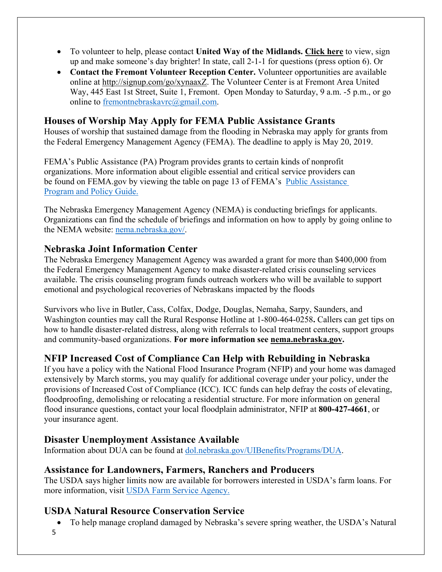- To volunteer to help, please contact **United Way of the Midlands. [Click](https://uwmidlands.galaxydigital.com/need/?s=1&need_init_id=1660) here** to view, sign up and make someone's day brighter! In state, call 2-1-1 for questions (press option 6). Or
- **Contact the Fremont Volunteer Reception Center.** Volunteer opportunities are available online at [http://signup.com/go/xynaaxZ.](http://signup.com/go/xynaaxZ?fbclid=IwAR1m90U2vgYS7ECdb6AHljMooZNkdAfb6i-7s_1hgOCf11d0oi-VMnJcMYY) The Volunteer Center is at Fremont Area United Way, 445 East 1st Street, Suite 1, Fremont. Open Monday to Saturday, 9 a.m. -5 p.m., or go online to [fremontnebraskavrc@gmail.com.](mailto:fremontnebraskavrc@gmail.com)

# **Houses of Worship May Apply for FEMA Public Assistance Grants**

Houses of worship that sustained damage from the flooding in Nebraska may apply for grants from the Federal Emergency Management Agency (FEMA). The deadline to apply is May 20, 2019.

FEMA's Public Assistance (PA) Program provides grants to certain kinds of nonprofit organizations. More information about eligible essential and critical service providers can be found on FEMA.gov by viewing the table on page 13 of FEMA's [Public Assistance](https://www.fema.gov/media-library-data/1525468328389-4a038bbef9081cd7dfe7538e7751aa9c/PAPPG_3.1_508_FINAL_5-4-2018.pdf)  [Program and Policy Guide.](https://www.fema.gov/media-library-data/1525468328389-4a038bbef9081cd7dfe7538e7751aa9c/PAPPG_3.1_508_FINAL_5-4-2018.pdf)

The Nebraska Emergency Management Agency (NEMA) is conducting briefings for applicants. Organizations can find the schedule of briefings and information on how to apply by going online to the NEMA website: [nema.nebraska.gov/.](https://nema.nebraska.gov/)

#### **Nebraska Joint Information Center**

The Nebraska Emergency Management Agency was awarded a grant for more than \$400,000 from the Federal Emergency Management Agency to make disaster-related crisis counseling services available. The crisis counseling program funds outreach workers who will be available to support emotional and psychological recoveries of Nebraskans impacted by the floods

Survivors who live in Butler, Cass, Colfax, Dodge, Douglas, Nemaha, Sarpy, Saunders, and Washington counties may call the Rural Response Hotline at 1-800-464-0258**.** Callers can get tips on how to handle disaster-related distress, along with referrals to local treatment centers, support groups and community-based organizations. **For more information see [nema.nebraska.gov.](file://fema.net/R7/DR/DR-4420-NE/EA/Planning%20and%20Products/Writers/Dale%20Bonza/DFS/nema.nebraska.gov)**

# **NFIP Increased Cost of Compliance Can Help with Rebuilding in Nebraska**

If you have a policy with the National Flood Insurance Program (NFIP) and your home was damaged extensively by March storms, you may qualify for additional coverage under your policy, under the provisions of Increased Cost of Compliance (ICC). ICC funds can help defray the costs of elevating, floodproofing, demolishing or relocating a residential structure. For more information on general flood insurance questions, contact your local floodplain administrator, NFIP at **800-427-4661**, or your insurance agent.

# **Disaster Unemployment Assistance Available**

Information about DUA can be found at [dol.nebraska.gov/UIBenefits/Programs/DUA.](https://dol.nebraska.gov/UIBenefits/Programs/DUA)

# **Assistance for Landowners, Farmers, Ranchers and Producers**

The USDA says higher limits now are available for borrowers interested in USDA's farm loans. For more information, visit [USDA Farm Service Agency.](https://www.fsa.usda.gov/)

# **USDA Natural Resource Conservation Service**

- To help manage cropland damaged by Nebraska's severe spring weather, the USDA's Natural
- 5